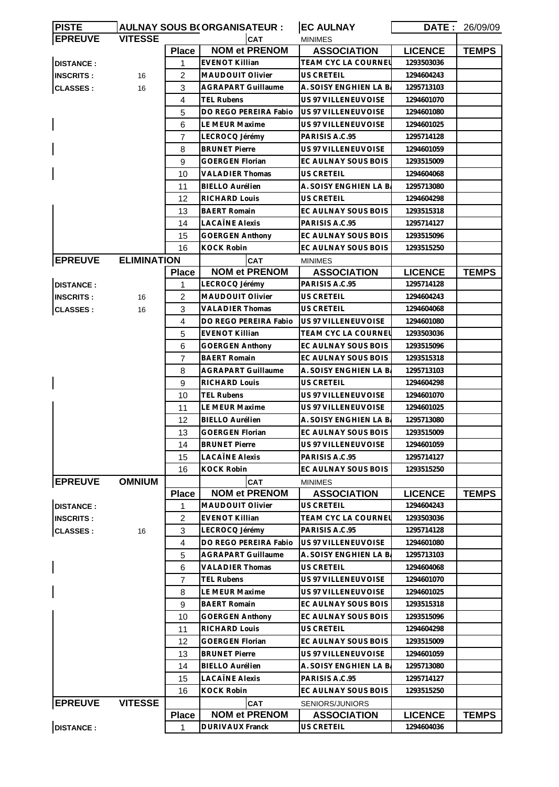| <b>PISTE</b>     |                    |                | <b>AULNAY SOUS B(ORGANISATEUR:</b> | <b>EC AULNAY</b>       | DATE:          | 26/09/09     |
|------------------|--------------------|----------------|------------------------------------|------------------------|----------------|--------------|
| <b>EPREUVE</b>   | <b>VITESSE</b>     |                | CAT                                | <b>MINIMES</b>         |                |              |
|                  |                    | <b>Place</b>   | <b>NOM et PRENOM</b>               | <b>ASSOCIATION</b>     | <b>LICENCE</b> | <b>TEMPS</b> |
| <b>DISTANCE:</b> |                    | 1              | <b>EVENOT Killian</b>              | TEAM CYC LA COURNEL    | 1293503036     |              |
| <b>INSCRITS:</b> | 16                 | 2              | <b>MAUDOUIT Olivier</b>            | US CRETEIL             | 1294604243     |              |
| <b>CLASSES:</b>  | 16                 | 3              | <b>AGRAPART Guillaume</b>          | A. SOISY ENGHIEN LA B. | 1295713103     |              |
|                  |                    | 4              | TEL Rubens                         | US 97 VILLENEUVOISE    | 1294601070     |              |
|                  |                    | 5              | DO REGO PEREIRA Fabio              | US 97 VILLENEUVOISE    | 1294601080     |              |
|                  |                    | 6              | LE MEUR Maxime                     | US 97 VILLENEUVOISE    | 1294601025     |              |
|                  |                    | $\overline{7}$ | LECROCQ Jérémy                     | PARISIS A.C.95         | 1295714128     |              |
|                  |                    | 8              | <b>BRUNET Pierre</b>               | US 97 VILLENEUVOISE    | 1294601059     |              |
|                  |                    | 9              | <b>GOERGEN Florian</b>             | EC AULNAY SOUS BOIS    | 1293515009     |              |
|                  |                    | 10             | <b>VALADIER Thomas</b>             | US CRETEIL             | 1294604068     |              |
|                  |                    | 11             | <b>BIELLO Aurélien</b>             | A. SOISY ENGHIEN LA B. | 1295713080     |              |
|                  |                    | 12             | <b>RICHARD Louis</b>               | US CRETEIL             | 1294604298     |              |
|                  |                    | 13             | <b>BAERT Romain</b>                | EC AULNAY SOUS BOIS    | 1293515318     |              |
|                  |                    | 14             | <b>LACAÏNE Alexis</b>              | PARISIS A.C.95         | 1295714127     |              |
|                  |                    | 15             | <b>GOERGEN Anthony</b>             | EC AULNAY SOUS BOIS    | 1293515096     |              |
|                  |                    | 16             | <b>KOCK Robin</b>                  | EC AULNAY SOUS BOIS    | 1293515250     |              |
| <b>EPREUVE</b>   | <b>ELIMINATION</b> |                | <b>CAT</b>                         | <b>MINIMES</b>         |                |              |
|                  |                    | <b>Place</b>   | <b>NOM et PRENOM</b>               | <b>ASSOCIATION</b>     | <b>LICENCE</b> | <b>TEMPS</b> |
| <b>DISTANCE:</b> |                    | $\mathbf{1}$   | LECROCQ Jérémy                     | PARISIS A.C.95         | 1295714128     |              |
| <b>INSCRITS:</b> | 16                 | 2              | MAUDOUIT Olivier                   | US CRETEIL             | 1294604243     |              |
| <b>CLASSES:</b>  | 16                 | 3              | <b>VALADIER Thomas</b>             | US CRETEIL             | 1294604068     |              |
|                  |                    | 4              | DO REGO PEREIRA Fabio              | US 97 VILLENEUVOISE    | 1294601080     |              |
|                  |                    | 5              | <b>EVENOT Killian</b>              | TEAM CYC LA COURNEL    | 1293503036     |              |
|                  |                    | 6              | <b>GOERGEN Anthony</b>             | EC AULNAY SOUS BOIS    | 1293515096     |              |
|                  |                    | $\overline{7}$ | <b>BAERT Romain</b>                | EC AULNAY SOUS BOIS    | 1293515318     |              |
|                  |                    | 8              | <b>AGRAPART Guillaume</b>          | A. SOISY ENGHIEN LA B. | 1295713103     |              |
|                  |                    | 9              | <b>RICHARD Louis</b>               | US CRETEIL             | 1294604298     |              |
|                  |                    | 10             | <b>TEL Rubens</b>                  | US 97 VILLENEUVOISE    | 1294601070     |              |
|                  |                    | 11             | LE MEUR Maxime                     | US 97 VILLENEUVOISE    | 1294601025     |              |
|                  |                    | 12             | <b>BIELLO Aurélien</b>             | A. SOISY ENGHIEN LA B. | 1295713080     |              |
|                  |                    | 13             | <b>GOERGEN Florian</b>             | EC AULNAY SOUS BOIS    | 1293515009     |              |
|                  |                    | 14             | <b>BRUNET Pierre</b>               | US 97 VILLENEUVOISE    | 1294601059     |              |
|                  |                    | 15             | <b>LACAÏNE Alexis</b>              | PARISIS A.C.95         | 1295714127     |              |
|                  |                    | 16             | <b>KOCK Robin</b>                  | EC AULNAY SOUS BOIS    | 1293515250     |              |
| <b>EPREUVE</b>   | <b>OMNIUM</b>      |                | <b>CAT</b>                         | <b>MINIMES</b>         |                |              |
|                  |                    | <b>Place</b>   | <b>NOM et PRENOM</b>               | <b>ASSOCIATION</b>     | <b>LICENCE</b> | <b>TEMPS</b> |
| <b>DISTANCE:</b> |                    | 1              | <b>MAUDOUIT Olivier</b>            | US CRETEIL             | 1294604243     |              |
| <b>INSCRITS:</b> |                    | 2              | <b>EVENOT Killian</b>              | TEAM CYC LA COURNEL    | 1293503036     |              |
| <b>CLASSES:</b>  | 16                 | 3              | LECROCQ Jérémy                     | PARISIS A.C.95         | 1295714128     |              |
|                  |                    | 4              | DO REGO PEREIRA Fabio              | US 97 VILLENEUVOISE    | 1294601080     |              |
|                  |                    | 5              | <b>AGRAPART Guillaume</b>          | A. SOISY ENGHIEN LA B  | 1295713103     |              |
|                  |                    | 6              | <b>VALADIER Thomas</b>             | US CRETEIL             | 1294604068     |              |
|                  |                    | 7              | <b>TEL Rubens</b>                  | US 97 VILLENEUVOISE    | 1294601070     |              |
|                  |                    | 8              | LE MEUR Maxime                     | US 97 VILLENEUVOISE    | 1294601025     |              |
|                  |                    | 9              | <b>BAERT Romain</b>                | EC AULNAY SOUS BOIS    | 1293515318     |              |
|                  |                    | 10             | <b>GOERGEN Anthony</b>             | EC AULNAY SOUS BOIS    | 1293515096     |              |
|                  |                    | 11             | <b>RICHARD Louis</b>               | US CRETEIL             | 1294604298     |              |
|                  |                    | 12             | <b>GOERGEN Florian</b>             | EC AULNAY SOUS BOIS    | 1293515009     |              |
|                  |                    | 13             | <b>BRUNET Pierre</b>               | US 97 VILLENEUVOISE    | 1294601059     |              |
|                  |                    | 14             | <b>BIELLO Aurélien</b>             | A. SOISY ENGHIEN LA B  | 1295713080     |              |
|                  |                    | 15             | LACAÏNE Alexis                     | PARISIS A.C.95         | 1295714127     |              |
|                  |                    | 16             | <b>KOCK Robin</b>                  | EC AULNAY SOUS BOIS    | 1293515250     |              |
| <b>EPREUVE</b>   | <b>VITESSE</b>     |                | <b>CAT</b>                         | SENIORS/JUNIORS        |                |              |
|                  |                    | <b>Place</b>   | <b>NOM et PRENOM</b>               | <b>ASSOCIATION</b>     | <b>LICENCE</b> | <b>TEMPS</b> |
| <b>DISTANCE:</b> |                    | 1              | <b>DURIVAUX Franck</b>             | US CRETEIL             | 1294604036     |              |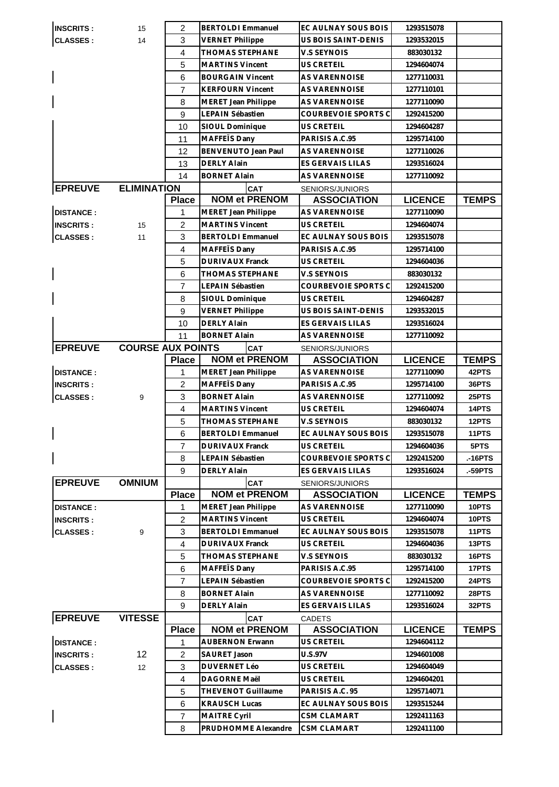|                  | 15                       | $\overline{2}$ | <b>BERTOLDI Emmanuel</b>                           | EC AULNAY SOUS BOIS                      | 1293515078               |              |
|------------------|--------------------------|----------------|----------------------------------------------------|------------------------------------------|--------------------------|--------------|
| <b>CLASSES:</b>  | 14                       | 3              | <b>VERNET Philippe</b>                             | <b>US BOIS SAINT-DENIS</b>               | 1293532015               |              |
|                  |                          | $\overline{4}$ | <b>THOMAS STEPHANE</b>                             | V.S SEYNOIS                              | 883030132                |              |
|                  |                          | 5              | <b>MARTINS Vincent</b>                             | <b>US CRETEIL</b>                        | 1294604074               |              |
|                  |                          | 6              | <b>BOURGAIN Vincent</b>                            | <b>AS VARENNOISE</b>                     | 1277110031               |              |
|                  |                          | 7              | <b>KERFOURN Vincent</b>                            | <b>AS VARENNOISE</b>                     | 1277110101               |              |
|                  |                          | 8              | MERET Jean Philippe                                | AS VARENNOISE                            | 1277110090               |              |
|                  |                          | 9              | LEPAIN Sébastien                                   | COURBEVOIE SPORTS C                      | 1292415200               |              |
|                  |                          | 10             | SIOUL Dominique                                    | <b>US CRETEIL</b>                        | 1294604287               |              |
|                  |                          | 11             | MAFFETS Dany                                       | PARISIS A.C.95                           | 1295714100               |              |
|                  |                          | 12             | BENVENUTO Jean Paul                                | <b>AS VARENNOISE</b>                     | 1277110026               |              |
|                  |                          | 13             | <b>DERLY Alain</b>                                 | ES GERVAIS LILAS                         | 1293516024               |              |
|                  |                          | 14             | <b>BORNET Alain</b>                                | AS VARENNOISE                            | 1277110092               |              |
| <b>EPREUVE</b>   | <b>ELIMINATION</b>       |                | <b>CAT</b>                                         | SENIORS/JUNIORS                          |                          |              |
|                  |                          | <b>Place</b>   | <b>NOM et PRENOM</b>                               | <b>ASSOCIATION</b>                       | <b>LICENCE</b>           | <b>TEMPS</b> |
| <b>DISTANCE:</b> |                          | 1              | <b>MERET Jean Philippe</b>                         | AS VARENNOISE                            | 1277110090               |              |
| <b>INSCRITS:</b> | 15                       | $\overline{2}$ | <b>MARTINS Vincent</b>                             | US CRETEIL                               | 1294604074               |              |
| <b>CLASSES:</b>  | 11                       | 3              | <b>BERTOLDI Emmanuel</b>                           | EC AULNAY SOUS BOIS                      | 1293515078               |              |
|                  |                          | $\overline{4}$ | MAFFETS Dany                                       | PARISIS A.C.95                           | 1295714100               |              |
|                  |                          | 5              | <b>DURIVAUX Franck</b>                             | <b>US CRETEIL</b>                        | 1294604036               |              |
|                  |                          | 6              | <b>THOMAS STEPHANE</b>                             | V.S SEYNOIS                              | 883030132                |              |
|                  |                          | $\overline{7}$ | LEPAIN Sébastien                                   | COURBEVOIE SPORTS C                      | 1292415200               |              |
|                  |                          |                |                                                    | US CRETEIL                               |                          |              |
|                  |                          | 8<br>9         | SIOUL Dominique                                    | US BOIS SAINT-DENIS                      | 1294604287<br>1293532015 |              |
|                  |                          |                | <b>VERNET Philippe</b><br><b>DERLY Alain</b>       |                                          |                          |              |
|                  |                          | 10             |                                                    | ES GERVAIS LILAS<br><b>AS VARENNOISE</b> | 1293516024               |              |
|                  |                          | 11             | <b>BORNET Alain</b>                                |                                          | 1277110092               |              |
| <b>EPREUVE</b>   | <b>COURSE AUX POINTS</b> |                | <b>CAT</b><br><b>NOM et PRENOM</b>                 | SENIORS/JUNIORS<br><b>ASSOCIATION</b>    | <b>LICENCE</b>           | <b>TEMPS</b> |
|                  |                          | <b>Place</b>   |                                                    |                                          |                          |              |
| <b>DISTANCE:</b> |                          | 1              | MERET Jean Philippe                                | AS VARENNOISE                            | 1277110090               | 42PTS        |
| <b>INSCRITS:</b> |                          | $\overline{2}$ | MAFFETS Dany                                       | PARISIS A.C.95                           | 1295714100               | 36PTS        |
| <b>CLASSES:</b>  | 9                        | 3              | <b>BORNET Alain</b>                                | <b>AS VARENNOISE</b>                     | 1277110092               | 25PTS        |
|                  |                          | 4              | <b>MARTINS Vincent</b>                             | <b>US CRETEIL</b>                        | 1294604074               | 14PTS        |
|                  |                          | 5              | <b>THOMAS STEPHANE</b>                             | V.S SEYNOIS                              | 883030132                | 12PTS        |
|                  |                          | 6              | <b>BERTOLDI Emmanuel</b><br><b>DURIVAUX Franck</b> | EC AULNAY SOUS BOIS                      | 1293515078               | 11PTS        |
|                  |                          |                |                                                    |                                          |                          |              |
|                  |                          | $\overline{7}$ |                                                    | <b>US CRETEIL</b>                        | 1294604036               | 5PTS         |
|                  |                          | 8              | LEPAIN Sébastien                                   | COURBEVOIE SPORTS C                      | 1292415200               | .-16PTS      |
|                  |                          | 9              | <b>DERLY Alain</b>                                 | <b>ES GERVAIS LILAS</b>                  | 1293516024               | .-59PTS      |
| <b>EPREUVE</b>   | <b>OMNIUM</b>            |                | <b>CAT</b>                                         | SENIORS/JUNIORS                          |                          |              |
|                  |                          | <b>Place</b>   | <b>NOM et PRENOM</b>                               | <b>ASSOCIATION</b>                       | <b>LICENCE</b>           | <b>TEMPS</b> |
| <b>DISTANCE:</b> |                          | 1              | <b>MERET Jean Philippe</b>                         | AS VARENNOISE                            | 1277110090               | 10PTS        |
| <b>INSCRITS:</b> |                          | $\overline{c}$ | <b>MARTINS Vincent</b>                             | <b>US CRETEIL</b>                        | 1294604074               | 10PTS        |
| <b>CLASSES:</b>  | 9                        | 3              | <b>BERTOLDI</b> Emmanuel                           | EC AULNAY SOUS BOIS                      | 1293515078               | 11PTS        |
|                  |                          | $\overline{4}$ | <b>DURIVAUX Franck</b>                             | US CRETEIL                               | 1294604036               | 13PTS        |
|                  |                          | 5              | THOMAS STEPHANE                                    | V.S SEYNOIS                              | 883030132                | 16PTS        |
|                  |                          | 6              | MAFFETS Dany                                       | PARISIS A.C.95                           | 1295714100               | 17PTS        |
|                  |                          | $\overline{7}$ | LEPAIN Sébastien                                   | COURBEVOIE SPORTS C                      | 1292415200               | 24PTS        |
|                  |                          | 8              | <b>BORNET Alain</b>                                | AS VARENNOISE                            | 1277110092               | 28PTS        |
|                  |                          | 9              | <b>DERLY Alain</b>                                 | ES GERVAIS LILAS                         | 1293516024               | 32PTS        |
| <b>EPREUVE</b>   | <b>VITESSE</b>           |                | <b>CAT</b>                                         | <b>CADETS</b>                            |                          |              |
|                  |                          | <b>Place</b>   | <b>NOM et PRENOM</b>                               | <b>ASSOCIATION</b>                       | <b>LICENCE</b>           | <b>TEMPS</b> |
| <b>DISTANCE:</b> |                          | 1              | <b>AUBERNON Erwann</b>                             | US CRETEIL                               | 1294604112               |              |
| <b>INSCRITS:</b> | 12 <sup>2</sup>          | $\overline{2}$ | SAURET Jason                                       | <b>U.S.97V</b>                           | 1294601008               |              |
| <b>CLASSES:</b>  | 12                       | 3              | <b>DUVERNET Léo</b>                                | US CRETEIL                               | 1294604049               |              |
|                  |                          | 4              | DAGORNE Maël                                       | <b>US CRETEIL</b>                        | 1294604201               |              |
|                  |                          | 5              | <b>THEVENOT Guillaume</b>                          | PARISIS A.C. 95                          | 1295714071               |              |
|                  |                          | 6              | <b>KRAUSCH Lucas</b>                               | EC AULNAY SOUS BOIS                      | 1293515244               |              |
|                  |                          | $\overline{7}$ | MAITRE Cyril                                       | <b>CSM CLAMART</b>                       | 1292411163               |              |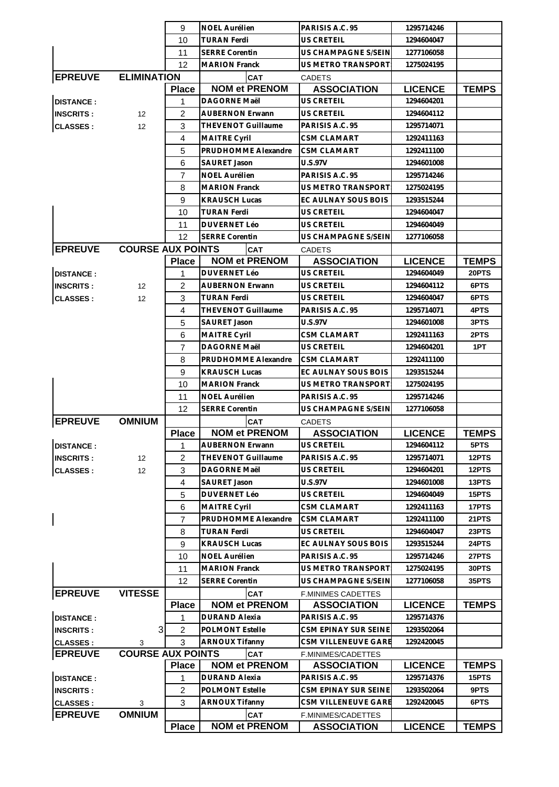|                  |                          | 9              | <b>NOEL Aurélien</b>      | PARISIS A.C. 95           | 1295714246     |              |
|------------------|--------------------------|----------------|---------------------------|---------------------------|----------------|--------------|
|                  |                          | 10             | TURAN Ferdi               | US CRETEIL                | 1294604047     |              |
|                  |                          | 11             | <b>SERRE Corentin</b>     | US CHAMPAGNE S/SEIN       | 1277106058     |              |
|                  |                          | 12             | <b>MARION Franck</b>      | US METRO TRANSPORT        | 1275024195     |              |
| <b>EPREUVE</b>   | <b>ELIMINATION</b>       |                | CAT                       | <b>CADETS</b>             |                |              |
|                  |                          | <b>Place</b>   | <b>NOM et PRENOM</b>      | <b>ASSOCIATION</b>        | <b>LICENCE</b> | <b>TEMPS</b> |
| <b>DISTANCE:</b> |                          | 1              | <b>DAGORNE Maël</b>       | US CRETEIL                | 1294604201     |              |
| <b>INSCRITS:</b> | $12 \overline{ }$        | 2              | <b>AUBERNON Erwann</b>    | US CRETEIL                | 1294604112     |              |
| <b>CLASSES:</b>  | 12                       | 3              | <b>THEVENOT Guillaume</b> | PARISIS A.C. 95           | 1295714071     |              |
|                  |                          | 4              | <b>MAITRE Cyril</b>       | <b>CSM CLAMART</b>        | 1292411163     |              |
|                  |                          | 5              | PRUDHOMME Alexandre       | <b>CSM CLAMART</b>        | 1292411100     |              |
|                  |                          | 6              | <b>SAURET Jason</b>       | <b>U.S.97V</b>            | 1294601008     |              |
|                  |                          | 7              | <b>NOEL Aurélien</b>      | PARISIS A.C. 95           | 1295714246     |              |
|                  |                          |                |                           |                           |                |              |
|                  |                          | 8              | <b>MARION Franck</b>      | US METRO TRANSPORT        | 1275024195     |              |
|                  |                          | 9              | <b>KRAUSCH Lucas</b>      | EC AULNAY SOUS BOIS       | 1293515244     |              |
|                  |                          | 10             | <b>TURAN Ferdi</b>        | <b>US CRETEIL</b>         | 1294604047     |              |
|                  |                          | 11             | <b>DUVERNET Léo</b>       | <b>US CRETEIL</b>         | 1294604049     |              |
|                  |                          | 12             | <b>SERRE Corentin</b>     | US CHAMPAGNE S/SEIN       | 1277106058     |              |
| <b>EPREUVE</b>   | <b>COURSE AUX POINTS</b> |                | CAT                       | <b>CADETS</b>             |                |              |
|                  |                          | <b>Place</b>   | <b>NOM et PRENOM</b>      | <b>ASSOCIATION</b>        | <b>LICENCE</b> | <b>TEMPS</b> |
| <b>DISTANCE:</b> |                          | 1              | <b>DUVERNET Léo</b>       | <b>US CRETEIL</b>         | 1294604049     | 20PTS        |
| <b>INSCRITS:</b> | 12                       | $\overline{c}$ | <b>AUBERNON Erwann</b>    | <b>US CRETEIL</b>         | 1294604112     | 6PTS         |
| <b>CLASSES:</b>  | 12 <sup>2</sup>          | 3              | <b>TURAN Ferdi</b>        | <b>US CRETEIL</b>         | 1294604047     | 6PTS         |
|                  |                          | 4              | <b>THEVENOT Guillaume</b> | PARISIS A.C. 95           | 1295714071     | 4PTS         |
|                  |                          | 5              | SAURET Jason              | <b>U.S.97V</b>            | 1294601008     | 3PTS         |
|                  |                          | 6              | <b>MAITRE Cyril</b>       | CSM CLAMART               | 1292411163     | 2PTS         |
|                  |                          | $\overline{7}$ | <b>DAGORNE Maël</b>       | <b>US CRETEIL</b>         | 1294604201     | 1PT          |
|                  |                          | 8              | PRUDHOMME Alexandre       | <b>CSM CLAMART</b>        | 1292411100     |              |
|                  |                          | 9              | <b>KRAUSCH Lucas</b>      | EC AULNAY SOUS BOIS       | 1293515244     |              |
|                  |                          | 10             | <b>MARION Franck</b>      | US METRO TRANSPORT        | 1275024195     |              |
|                  |                          | 11             | NOEL Aurélien             | PARISIS A.C. 95           | 1295714246     |              |
|                  |                          | 12             | <b>SERRE Corentin</b>     | US CHAMPAGNE S/SEIN       | 1277106058     |              |
| <b>EPREUVE</b>   | <b>OMNIUM</b>            |                | <b>CAT</b>                | <b>CADETS</b>             |                |              |
|                  |                          | <b>Place</b>   | <b>NOM et PRENOM</b>      | <b>ASSOCIATION</b>        | <b>LICENCE</b> | <b>TEMPS</b> |
| <b>DISTANCE:</b> |                          | 1              | <b>AUBERNON Erwann</b>    | US CRETEIL                | 1294604112     | 5PTS         |
| <b>INSCRITS:</b> | $12 \overline{ }$        | 2              | THEVENOT Guillaume        | PARISIS A.C. 95           | 1295714071     | 12PTS        |
| <b>CLASSES:</b>  | 12                       | 3              | DAGORNE Maël              | US CRETEIL                | 1294604201     | 12PTS        |
|                  |                          | $\overline{4}$ | SAURET Jason              | <b>U.S.97V</b>            | 1294601008     | 13PTS        |
|                  |                          | 5              | <b>DUVERNET Léo</b>       | US CRETEIL                | 1294604049     | 15PTS        |
|                  |                          | 6              | <b>MAITRE Cyril</b>       | <b>CSM CLAMART</b>        | 1292411163     | 17PTS        |
|                  |                          | $\overline{7}$ | PRUDHOMME Alexandre       | CSM CLAMART               | 1292411100     | 21PTS        |
|                  |                          | 8              | TURAN Ferdi               | <b>US CRETEIL</b>         | 1294604047     | 23PTS        |
|                  |                          | 9              | <b>KRAUSCH Lucas</b>      | EC AULNAY SOUS BOIS       | 1293515244     | 24PTS        |
|                  |                          | 10             | <b>NOEL Aurélien</b>      | PARISIS A.C. 95           | 1295714246     | 27PTS        |
|                  |                          | 11             | <b>MARION Franck</b>      | US METRO TRANSPORT        | 1275024195     | <b>30PTS</b> |
|                  |                          | 12             | <b>SERRE Corentin</b>     | US CHAMPAGNE S/SEIN       | 1277106058     | 35PTS        |
| <b>EPREUVE</b>   | <b>VITESSE</b>           |                | <b>CAT</b>                | <b>F.MINIMES CADETTES</b> |                |              |
|                  |                          |                | <b>NOM et PRENOM</b>      | <b>ASSOCIATION</b>        | <b>LICENCE</b> | <b>TEMPS</b> |
|                  |                          | <b>Place</b>   |                           |                           |                |              |
| <b>DISTANCE:</b> |                          | 1              | <b>DURAND Alexia</b>      | PARISIS A.C. 95           | 1295714376     |              |
| <b>INSCRITS:</b> | 3                        | $\overline{2}$ | <b>POLMONT Estelle</b>    | CSM EPINAY SUR SEINE      | 1293502064     |              |
| <b>CLASSES:</b>  | 3                        | 3              | <b>ARNOUX Tifanny</b>     | CSM VILLENEUVE GARE       | 1292420045     |              |
| <b>EPREUVE</b>   | <b>COURSE AUX POINTS</b> |                | CAT                       | F.MINIMES/CADETTES        |                |              |
|                  |                          | <b>Place</b>   | <b>NOM et PRENOM</b>      | <b>ASSOCIATION</b>        | <b>LICENCE</b> | <b>TEMPS</b> |
| <b>DISTANCE:</b> |                          | 1              | <b>DURAND Alexia</b>      | PARISIS A.C. 95           | 1295714376     | 15PTS        |
| <b>INSCRITS:</b> |                          | 2              | <b>POLMONT Estelle</b>    | CSM EPINAY SUR SEINE      | 1293502064     | 9PTS         |
| <b>CLASSES:</b>  | 3                        | 3              | <b>ARNOUX Tifanny</b>     | CSM VILLENEUVE GARE       | 1292420045     | 6PTS         |
| <b>EPREUVE</b>   | <b>OMNIUM</b>            |                | <b>CAT</b>                | F.MINIMES/CADETTES        |                |              |
|                  |                          | <b>Place</b>   | <b>NOM et PRENOM</b>      | <b>ASSOCIATION</b>        | <b>LICENCE</b> | <b>TEMPS</b> |